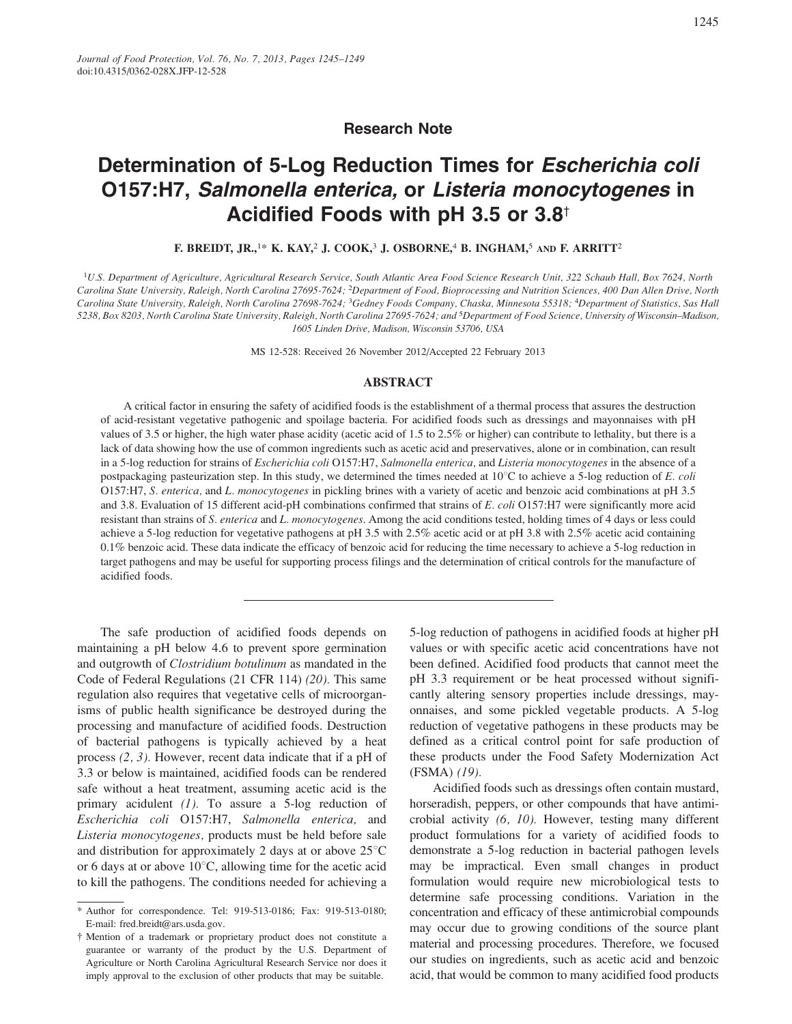## **Research Note**

# Determination of 5-Log Reduction Times for Escherichia coli O157:H7, Salmonella enterica, or Listeria monocytogenes in Acidified Foods with pH 3.5 or 3.8<sup>+</sup>

F. BREIDT, JR.,<sup>1\*</sup> K. KAY,<sup>2</sup> J. COOK,<sup>3</sup> J. OSBORNE,<sup>4</sup> B. INGHAM,<sup>5</sup> AND F. ARRITT<sup>2</sup>

<sup>1</sup>U.S. Department of Agriculture, Agricultural Research Service, South Atlantic Area Food Science Research Unit, 322 Schaub Hall, Box 7624, North Carolina State University, Raleigh, North Carolina 27695-7624; <sup>2</sup>Department of Food, Bioprocessing and Nutrition Sciences, 400 Dan Allen Drive, North Carolina State University, Raleigh, North Carolina 27698-7624; <sup>3</sup>Gedney Foods Company, Chaska, Minnesota 55318; <sup>4</sup>Department of Statistics, Sas Hall 5238, Box 8203, North Carolina State University, Raleigh, North Carolina 27695-7624; and <sup>5</sup>Department of Food Science, University of Wisconsin-Madison, 1605 Linden Drive, Madison, Wisconsin 53706, USA

MS 12-528: Received 26 November 2012/Accepted 22 February 2013

#### **ABSTRACT**

A critical factor in ensuring the safety of acidified foods is the establishment of a thermal process that assures the destruction of acid-resistant vegetative pathogenic and spoilage bacteria. For acidified foods such as dressings and mayonnaises with pH values of 3.5 or higher, the high water phase acidity (acetic acid of 1.5 to 2.5% or higher) can contribute to lethality, but there is a lack of data showing how the use of common ingredients such as acetic acid and preservatives, alone or in combination, can result in a 5-log reduction for strains of Escherichia coli O157:H7, Salmonella enterica, and Listeria monocytogenes in the absence of a postpackaging pasteurization step. In this study, we determined the times needed at  $10^{\circ}$ C to achieve a 5-log reduction of E. coli O157:H7, S. enterica, and L. monocytogenes in pickling brines with a variety of acetic and benzoic acid combinations at pH 3.5 and 3.8. Evaluation of 15 different acid-pH combinations confirmed that strains of E. coli O157:H7 were significantly more acid resistant than strains of S. enterica and L. monocytogenes. Among the acid conditions tested, holding times of 4 days or less could achieve a 5-log reduction for vegetative pathogens at pH 3.5 with 2.5% acetic acid or at pH 3.8 with 2.5% acetic acid containing 0.1% benzoic acid. These data indicate the efficacy of benzoic acid for reducing the time necessary to achieve a 5-log reduction in target pathogens and may be useful for supporting process filings and the determination of critical controls for the manufacture of acidified foods.

The safe production of acidified foods depends on maintaining a pH below 4.6 to prevent spore germination and outgrowth of *Clostridium botulinum* as mandated in the Code of Federal Regulations (21 CFR 114) (20). This same regulation also requires that vegetative cells of microorganisms of public health significance be destroyed during the processing and manufacture of acidified foods. Destruction of bacterial pathogens is typically achieved by a heat process  $(2, 3)$ . However, recent data indicate that if a pH of 3.3 or below is maintained, acidified foods can be rendered safe without a heat treatment, assuming acetic acid is the primary acidulent  $(1)$ . To assure a 5-log reduction of Escherichia coli O157:H7, Salmonella enterica, and Listeria monocytogenes, products must be held before sale and distribution for approximately 2 days at or above  $25^{\circ}$ C or 6 days at or above  $10^{\circ}$ C, allowing time for the acetic acid to kill the pathogens. The conditions needed for achieving a 5-log reduction of pathogens in acidified foods at higher pH values or with specific acetic acid concentrations have not been defined. Acidified food products that cannot meet the pH 3.3 requirement or be heat processed without significantly altering sensory properties include dressings, mayonnaises, and some pickled vegetable products. A 5-log reduction of vegetative pathogens in these products may be defined as a critical control point for safe production of these products under the Food Safety Modernization Act  $(FSMA)$   $(19)$ .

Acidified foods such as dressings often contain mustard, horseradish, peppers, or other compounds that have antimicrobial activity (6, 10). However, testing many different product formulations for a variety of acidified foods to demonstrate a 5-log reduction in bacterial pathogen levels may be impractical. Even small changes in product formulation would require new microbiological tests to determine safe processing conditions. Variation in the concentration and efficacy of these antimicrobial compounds may occur due to growing conditions of the source plant material and processing procedures. Therefore, we focused our studies on ingredients, such as acetic acid and benzoic acid, that would be common to many acidified food products

<sup>\*</sup> Author for correspondence. Tel: 919-513-0186; Fax: 919-513-0180; E-mail: fred.breidt@ars.usda.gov.

<sup>†</sup> Mention of a trademark or proprietary product does not constitute a guarantee or warranty of the product by the U.S. Department of Agriculture or North Carolina Agricultural Research Service nor does it imply approval to the exclusion of other products that may be suitable.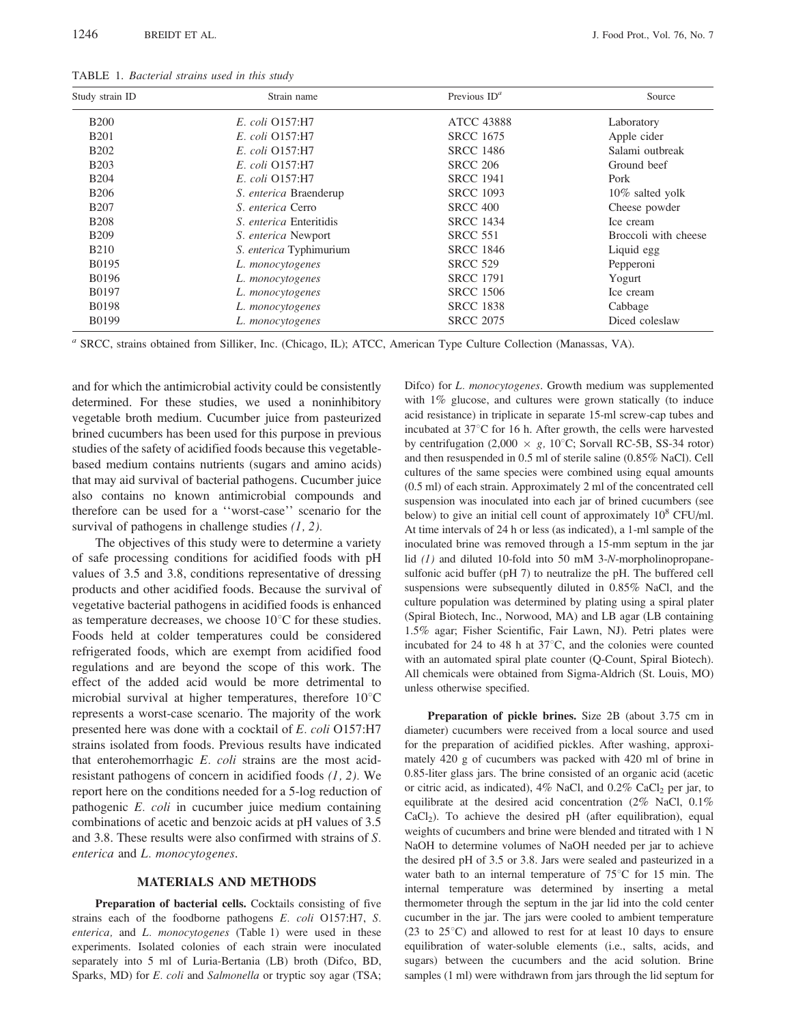| Study strain ID | Strain name                    | Previous $ID^a$   | Source<br>Laboratory |  |
|-----------------|--------------------------------|-------------------|----------------------|--|
| <b>B200</b>     | E. coli Q157:H7                | <b>ATCC 43888</b> |                      |  |
| <b>B201</b>     | E. coli Q157:H7                | <b>SRCC 1675</b>  | Apple cider          |  |
| <b>B202</b>     | E. coli Q157:H7                | <b>SRCC 1486</b>  | Salami outbreak      |  |
| <b>B203</b>     | E. coli Q157:H7                | <b>SRCC 206</b>   | Ground beef          |  |
| <b>B204</b>     | E. coli Q157:H7                | <b>SRCC 1941</b>  | Pork                 |  |
| <b>B206</b>     | S. enterica Braenderup         | <b>SRCC 1093</b>  | $10\%$ salted yolk   |  |
| <b>B207</b>     | S. enterica Cerro              | <b>SRCC 400</b>   | Cheese powder        |  |
| <b>B208</b>     | <i>S. enterica</i> Enteritidis | <b>SRCC 1434</b>  | Ice cream            |  |
| <b>B209</b>     | <i>S. enterica</i> Newport     | <b>SRCC 551</b>   | Broccoli with cheese |  |
| <b>B210</b>     | S. enterica Typhimurium        | <b>SRCC 1846</b>  | Liquid egg           |  |
| B0195           | L. monocytogenes               | <b>SRCC 529</b>   | Pepperoni            |  |
| <b>B0196</b>    | L. <i>monocytogenes</i>        | <b>SRCC 1791</b>  | Yogurt               |  |
| B0197           | L. monocytogenes               | <b>SRCC 1506</b>  | Ice cream            |  |
| <b>B0198</b>    | L. monocytogenes               | <b>SRCC 1838</b>  | Cabbage              |  |
| <b>B0199</b>    | L. monocytogenes               | <b>SRCC 2075</b>  | Diced coleslaw       |  |

TABLE 1. Bacterial strains used in this study

<sup>a</sup> SRCC, strains obtained from Silliker, Inc. (Chicago, IL); ATCC, American Type Culture Collection (Manassas, VA).

and for which the antimicrobial activity could be consistently determined. For these studies, we used a noninhibitory vegetable broth medium. Cucumber juice from pasteurized brined cucumbers has been used for this purpose in previous studies of the safety of acidified foods because this vegetablebased medium contains nutrients (sugars and amino acids) that may aid survival of bacterial pathogens. Cucumber juice also contains no known antimicrobial compounds and therefore can be used for a "worst-case" scenario for the survival of pathogens in challenge studies  $(1, 2)$ .

The objectives of this study were to determine a variety of safe processing conditions for acidified foods with pH values of 3.5 and 3.8, conditions representative of dressing products and other acidified foods. Because the survival of vegetative bacterial pathogens in acidified foods is enhanced as temperature decreases, we choose  $10^{\circ}$ C for these studies. Foods held at colder temperatures could be considered refrigerated foods, which are exempt from acidified food regulations and are beyond the scope of this work. The effect of the added acid would be more detrimental to microbial survival at higher temperatures, therefore  $10^{\circ}$ C represents a worst-case scenario. The majority of the work presented here was done with a cocktail of E. coli O157:H7 strains isolated from foods. Previous results have indicated that enterohemorrhagic E. coli strains are the most acidresistant pathogens of concern in acidified foods  $(1, 2)$ . We report here on the conditions needed for a 5-log reduction of pathogenic E. coli in cucumber juice medium containing combinations of acetic and benzoic acids at pH values of 3.5 and 3.8. These results were also confirmed with strains of S. enterica and L. monocytogenes.

#### **MATERIALS AND METHODS**

Preparation of bacterial cells. Cocktails consisting of five strains each of the foodborne pathogens E. coli O157:H7, S. enterica, and L. monocytogenes (Table 1) were used in these experiments. Isolated colonies of each strain were inoculated separately into 5 ml of Luria-Bertania (LB) broth (Difco, BD, Sparks, MD) for E. coli and Salmonella or tryptic soy agar (TSA;

Difco) for L. monocytogenes. Growth medium was supplemented with  $1\%$  glucose, and cultures were grown statically (to induce acid resistance) in triplicate in separate 15-ml screw-cap tubes and incubated at 37°C for 16 h. After growth, the cells were harvested by centrifugation (2,000  $\times$  g, 10<sup>o</sup>C; Sorvall RC-5B, SS-34 rotor) and then resuspended in 0.5 ml of sterile saline (0.85% NaCl). Cell cultures of the same species were combined using equal amounts (0.5 ml) of each strain. Approximately 2 ml of the concentrated cell suspension was inoculated into each jar of brined cucumbers (see below) to give an initial cell count of approximately  $10^8$  CFU/ml. At time intervals of 24 h or less (as indicated), a 1-ml sample of the inoculated brine was removed through a 15-mm septum in the jar lid  $(1)$  and diluted 10-fold into 50 mM 3-N-morpholinopropanesulfonic acid buffer (pH 7) to neutralize the pH. The buffered cell suspensions were subsequently diluted in 0.85% NaCl, and the culture population was determined by plating using a spiral plater (Spiral Biotech, Inc., Norwood, MA) and LB agar (LB containing 1.5% agar; Fisher Scientific, Fair Lawn, NJ). Petri plates were incubated for 24 to 48 h at  $37^{\circ}$ C, and the colonies were counted with an automated spiral plate counter (Q-Count, Spiral Biotech). All chemicals were obtained from Sigma-Aldrich (St. Louis, MO) unless otherwise specified.

Preparation of pickle brines. Size 2B (about 3.75 cm in diameter) cucumbers were received from a local source and used for the preparation of acidified pickles. After washing, approximately 420 g of cucumbers was packed with 420 ml of brine in 0.85-liter glass jars. The brine consisted of an organic acid (acetic or citric acid, as indicated),  $4\%$  NaCl, and  $0.2\%$  CaCl<sub>2</sub> per jar, to equilibrate at the desired acid concentration  $(2\%$  NaCl,  $0.1\%$  $CaCl<sub>2</sub>$ ). To achieve the desired pH (after equilibration), equal weights of cucumbers and brine were blended and titrated with 1 N NaOH to determine volumes of NaOH needed per jar to achieve the desired pH of 3.5 or 3.8. Jars were sealed and pasteurized in a water bath to an internal temperature of  $75^{\circ}$ C for 15 min. The internal temperature was determined by inserting a metal thermometer through the septum in the jar lid into the cold center cucumber in the jar. The jars were cooled to ambient temperature  $(23 \text{ to } 25^{\circ}\text{C})$  and allowed to rest for at least 10 days to ensure equilibration of water-soluble elements (i.e., salts, acids, and sugars) between the cucumbers and the acid solution. Brine samples (1 ml) were withdrawn from jars through the lid septum for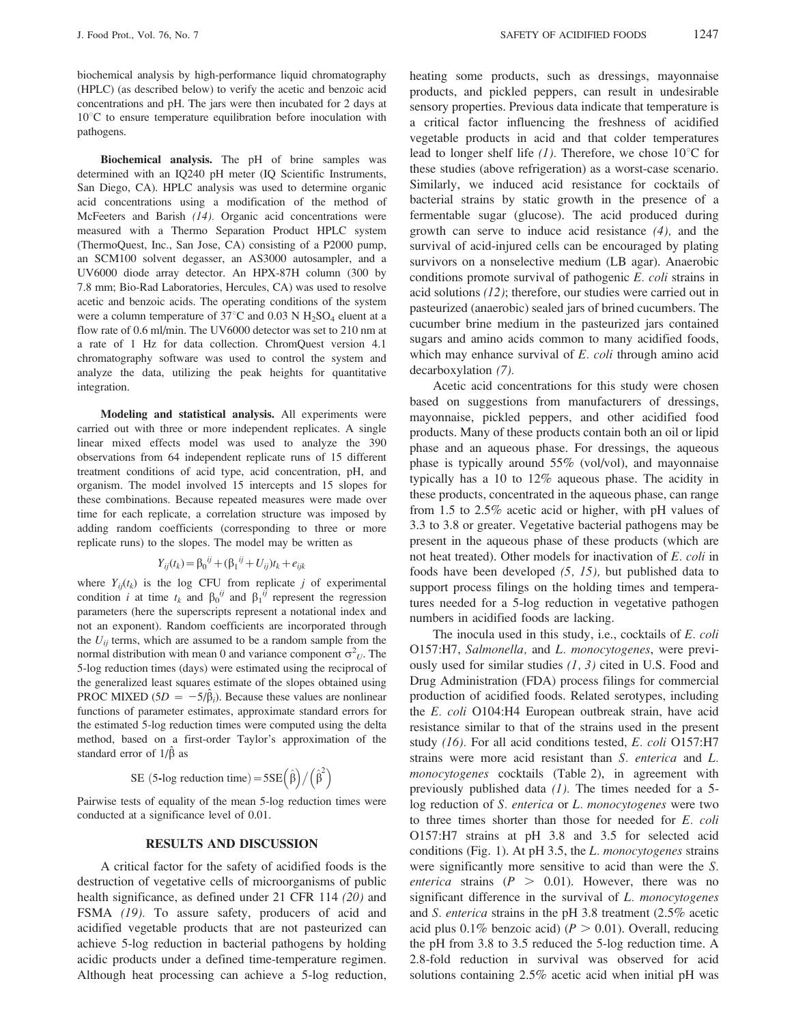biochemical analysis by high-performance liquid chromatography (HPLC) (as described below) to verify the acetic and benzoic acid concentrations and pH. The jars were then incubated for 2 days at  $10^{\circ}$ C to ensure temperature equilibration before inoculation with pathogens.

Biochemical analysis. The pH of brine samples was determined with an IQ240 pH meter (IQ Scientific Instruments, San Diego, CA). HPLC analysis was used to determine organic acid concentrations using a modification of the method of McFeeters and Barish (14). Organic acid concentrations were measured with a Thermo Separation Product HPLC system (ThermoQuest, Inc., San Jose, CA) consisting of a P2000 pump, an SCM100 solvent degasser, an AS3000 autosampler, and a UV6000 diode array detector. An HPX-87H column (300 by 7.8 mm; Bio-Rad Laboratories, Hercules, CA) was used to resolve acetic and benzoic acids. The operating conditions of the system were a column temperature of 37 $^{\circ}$ C and 0.03 N H<sub>2</sub>SO<sub>4</sub> eluent at a flow rate of 0.6 ml/min. The UV6000 detector was set to 210 nm at a rate of 1 Hz for data collection. ChromQuest version 4.1 chromatography software was used to control the system and analyze the data, utilizing the peak heights for quantitative integration.

Modeling and statistical analysis. All experiments were carried out with three or more independent replicates. A single linear mixed effects model was used to analyze the 390 observations from 64 independent replicate runs of 15 different treatment conditions of acid type, acid concentration, pH, and organism. The model involved 15 intercepts and 15 slopes for these combinations. Because repeated measures were made over time for each replicate, a correlation structure was imposed by adding random coefficients (corresponding to three or more replicate runs) to the slopes. The model may be written as

$$
Y_{ij}(t_k) = \beta_0^{ij} + (\beta_1^{ij} + U_{ij})t_k + e_{ijk}
$$

where  $Y_{ii}(t_k)$  is the log CFU from replicate j of experimental condition *i* at time  $t_k$  and  $\beta_0^{ij}$  and  $\beta_1^{ij}$  represent the regression parameters (here the superscripts represent a notational index and not an exponent). Random coefficients are incorporated through the  $U_{ij}$  terms, which are assumed to be a random sample from the normal distribution with mean 0 and variance component  $\sigma^2_U$ . The 5-log reduction times (days) were estimated using the reciprocal of the generalized least squares estimate of the slopes obtained using PROC MIXED (5D =  $-5/\hat{\beta}_i$ ). Because these values are nonlinear functions of parameter estimates, approximate standard errors for the estimated 5-log reduction times were computed using the delta method, based on a first-order Taylor's approximation of the standard error of  $1/\hat{\beta}$  as

SE (5-log reduction time) =  $5SE(\hat{\beta})/(\hat{\beta}^2)$ 

Pairwise tests of equality of the mean 5-log reduction times were conducted at a significance level of 0.01.

### **RESULTS AND DISCUSSION**

A critical factor for the safety of acidified foods is the destruction of vegetative cells of microorganisms of public health significance, as defined under 21 CFR 114 (20) and FSMA (19). To assure safety, producers of acid and acidified vegetable products that are not pasteurized can achieve 5-log reduction in bacterial pathogens by holding acidic products under a defined time-temperature regimen. Although heat processing can achieve a 5-log reduction,

heating some products, such as dressings, mayonnaise products, and pickled peppers, can result in undesirable sensory properties. Previous data indicate that temperature is a critical factor influencing the freshness of acidified vegetable products in acid and that colder temperatures lead to longer shelf life  $(1)$ . Therefore, we chose 10<sup>o</sup>C for these studies (above refrigeration) as a worst-case scenario. Similarly, we induced acid resistance for cocktails of bacterial strains by static growth in the presence of a fermentable sugar (glucose). The acid produced during growth can serve to induce acid resistance  $(4)$ , and the survival of acid-injured cells can be encouraged by plating survivors on a nonselective medium (LB agar). Anaerobic conditions promote survival of pathogenic E. coli strains in acid solutions  $(12)$ ; therefore, our studies were carried out in pasteurized (anaerobic) sealed jars of brined cucumbers. The cucumber brine medium in the pasteurized jars contained sugars and amino acids common to many acidified foods, which may enhance survival of  $E$ . coli through amino acid decarboxylation (7).

Acetic acid concentrations for this study were chosen based on suggestions from manufacturers of dressings, mayonnaise, pickled peppers, and other acidified food products. Many of these products contain both an oil or lipid phase and an aqueous phase. For dressings, the aqueous phase is typically around  $55\%$  (vol/vol), and mayonnaise typically has a 10 to  $12\%$  aqueous phase. The acidity in these products, concentrated in the aqueous phase, can range from 1.5 to  $2.5\%$  acetic acid or higher, with pH values of 3.3 to 3.8 or greater. Vegetative bacterial pathogens may be present in the aqueous phase of these products (which are not heat treated). Other models for inactivation of E. coli in foods have been developed  $(5, 15)$ , but published data to support process filings on the holding times and temperatures needed for a 5-log reduction in vegetative pathogen numbers in acidified foods are lacking.

The inocula used in this study, i.e., cocktails of E. coli O157:H7, Salmonella, and L. monocytogenes, were previously used for similar studies  $(1, 3)$  cited in U.S. Food and Drug Administration (FDA) process filings for commercial production of acidified foods. Related serotypes, including the E. coli O104:H4 European outbreak strain, have acid resistance similar to that of the strains used in the present study  $(16)$ . For all acid conditions tested, E. coli O157:H7 strains were more acid resistant than S. enterica and L. monocytogenes cocktails (Table 2), in agreement with previously published data  $(1)$ . The times needed for a 5log reduction of S. enterica or L. monocytogenes were two to three times shorter than those for needed for E. coli O157:H7 strains at pH 3.8 and 3.5 for selected acid conditions (Fig. 1). At pH 3.5, the L. monocytogenes strains were significantly more sensitive to acid than were the S. *enterica* strains ( $P > 0.01$ ). However, there was no significant difference in the survival of L. monocytogenes and S. enterica strains in the pH 3.8 treatment  $(2.5\%$  acetic acid plus 0.1% benzoic acid) ( $P > 0.01$ ). Overall, reducing the pH from 3.8 to 3.5 reduced the 5-log reduction time. A 2.8-fold reduction in survival was observed for acid solutions containing 2.5% acetic acid when initial pH was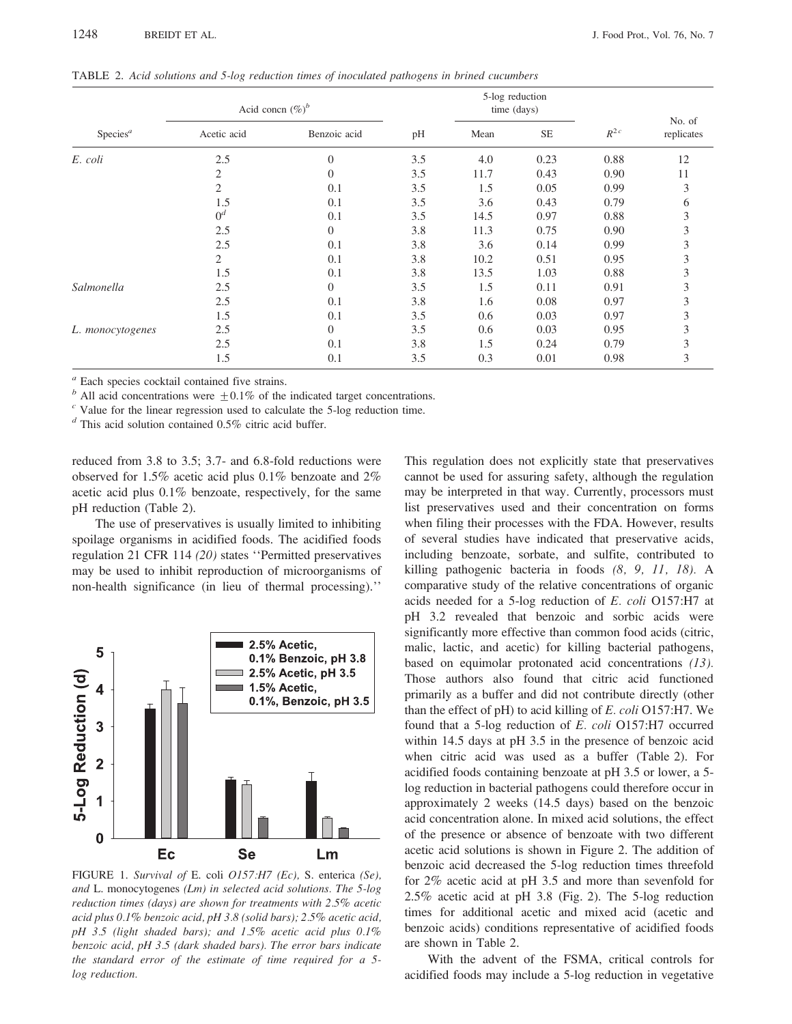| TABLE 2. Acid solutions and 5-log reduction times of inoculated pathogens in brined cucumbers |
|-----------------------------------------------------------------------------------------------|
|-----------------------------------------------------------------------------------------------|

|                      | Acid concn $(\%)^b$ |                  |     | 5-log reduction<br>time (days) |          |          |                      |
|----------------------|---------------------|------------------|-----|--------------------------------|----------|----------|----------------------|
| Species <sup>a</sup> | Acetic acid         | Benzoic acid     | pH  | Mean                           | $\rm SE$ | $R^{2c}$ | No. of<br>replicates |
| E. coli              | 2.5                 | $\theta$         | 3.5 | 4.0                            | 0.23     | 0.88     | 12                   |
|                      | 2                   | $\overline{0}$   | 3.5 | 11.7                           | 0.43     | 0.90     | 11                   |
|                      | $\overline{c}$      | 0.1              | 3.5 | 1.5                            | 0.05     | 0.99     | 3                    |
|                      | 1.5                 | 0.1              | 3.5 | 3.6                            | 0.43     | 0.79     | 6                    |
|                      | $0^d$               | 0.1              | 3.5 | 14.5                           | 0.97     | 0.88     | 3                    |
|                      | 2.5                 | $\boldsymbol{0}$ | 3.8 | 11.3                           | 0.75     | 0.90     | 3                    |
|                      | 2.5                 | 0.1              | 3.8 | 3.6                            | 0.14     | 0.99     | 3                    |
|                      | 2                   | 0.1              | 3.8 | 10.2                           | 0.51     | 0.95     |                      |
|                      | 1.5                 | 0.1              | 3.8 | 13.5                           | 1.03     | 0.88     | 3                    |
| Salmonella           | 2.5                 | $\overline{0}$   | 3.5 | 1.5                            | 0.11     | 0.91     |                      |
|                      | 2.5                 | 0.1              | 3.8 | 1.6                            | 0.08     | 0.97     | 3                    |
|                      | 1.5                 | 0.1              | 3.5 | 0.6                            | 0.03     | 0.97     |                      |
| L. monocytogenes     | 2.5                 | $\overline{0}$   | 3.5 | 0.6                            | 0.03     | 0.95     | 3                    |
|                      | 2.5                 | 0.1              | 3.8 | 1.5                            | 0.24     | 0.79     | 3                    |
|                      | 1.5                 | 0.1              | 3.5 | 0.3                            | 0.01     | 0.98     | 3                    |

 $a$  Each species cocktail contained five strains.

<sup>b</sup> All acid concentrations were  $\pm 0.1\%$  of the indicated target concentrations.

 $\degree$  Value for the linear regression used to calculate the 5-log reduction time.

 $d$  This acid solution contained 0.5% citric acid buffer.

reduced from 3.8 to 3.5; 3.7- and 6.8-fold reductions were observed for 1.5% acetic acid plus  $0.1\%$  benzoate and  $2\%$ acetic acid plus  $0.1\%$  benzoate, respectively, for the same pH reduction (Table 2).

The use of preservatives is usually limited to inhibiting spoilage organisms in acidified foods. The acidified foods regulation 21 CFR 114 (20) states "Permitted preservatives may be used to inhibit reproduction of microorganisms of non-health significance (in lieu of thermal processing)."



FIGURE 1. Survival of E. coli O157:H7 (Ec), S. enterica (Se), and L. monocytogenes (Lm) in selected acid solutions. The 5-log reduction times (days) are shown for treatments with 2.5% acetic acid plus 0.1% benzoic acid, pH 3.8 (solid bars); 2.5% acetic acid, pH 3.5 (light shaded bars); and 1.5% acetic acid plus 0.1% benzoic acid, pH 3.5 (dark shaded bars). The error bars indicate the standard error of the estimate of time required for a 5log reduction.

This regulation does not explicitly state that preservatives cannot be used for assuring safety, although the regulation may be interpreted in that way. Currently, processors must list preservatives used and their concentration on forms when filing their processes with the FDA. However, results of several studies have indicated that preservative acids, including benzoate, sorbate, and sulfite, contributed to killing pathogenic bacteria in foods (8, 9, 11, 18). A comparative study of the relative concentrations of organic acids needed for a 5-log reduction of E. coli O157:H7 at pH 3.2 revealed that benzoic and sorbic acids were significantly more effective than common food acids (citric, malic, lactic, and acetic) for killing bacterial pathogens, based on equimolar protonated acid concentrations  $(13)$ . Those authors also found that citric acid functioned primarily as a buffer and did not contribute directly (other than the effect of pH) to acid killing of E. coli O157:H7. We found that a 5-log reduction of E. coli O157:H7 occurred within 14.5 days at pH 3.5 in the presence of benzoic acid when citric acid was used as a buffer (Table 2). For acidified foods containing benzoate at pH 3.5 or lower, a 5log reduction in bacterial pathogens could therefore occur in approximately 2 weeks (14.5 days) based on the benzoic acid concentration alone. In mixed acid solutions, the effect of the presence or absence of benzoate with two different acetic acid solutions is shown in Figure 2. The addition of benzoic acid decreased the 5-log reduction times threefold for  $2\%$  acetic acid at pH 3.5 and more than sevenfold for  $2.5\%$  acetic acid at pH 3.8 (Fig. 2). The 5-log reduction times for additional acetic and mixed acid (acetic and benzoic acids) conditions representative of acidified foods are shown in Table 2.

With the advent of the FSMA, critical controls for acidified foods may include a 5-log reduction in vegetative